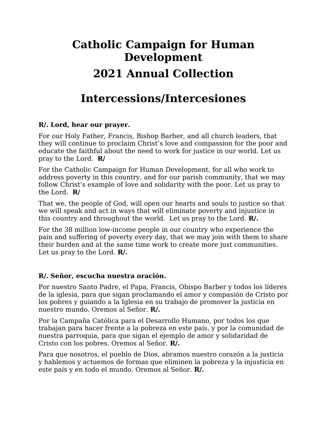## **Catholic Campaign for Human Development 2021 Annual Collection**

## **Intercessions/Intercesiones**

## **R/. Lord, hear our prayer.**

For our Holy Father, Francis, Bishop Barber, and all church leaders, that they will continue to proclaim Christ's love and compassion for the poor and educate the faithful about the need to work for justice in our world. Let us pray to the Lord. **R/**

For the Catholic Campaign for Human Development, for all who work to address poverty in this country, and for our parish community, that we may follow Christ's example of love and solidarity with the poor. Let us pray to the Lord. **R/**

That we, the people of God, will open our hearts and souls to justice so that we will speak and act in ways that will eliminate poverty and injustice in this country and throughout the world. Let us pray to the Lord. **R/.** 

For the 38 million low-income people in our country who experience the pain and suffering of poverty every day, that we may join with them to share their burden and at the same time work to create more just communities. Let us pray to the Lord. **R/.** 

## **R/. Señor, escucha nuestra oración.**

Por nuestro Santo Padre, el Papa, Francis, Obispo Barber y todos los líderes de la iglesia, para que sigan proclamando el amor y compasión de Cristo por los pobres y guiando a la Iglesia en su trabajo de promover la justicia en nuestro mundo. Oremos al Señor. **R/.** 

Por la Campaña Católica para el Desarrollo Humano, por todos los que trabajan para hacer frente a la pobreza en este país, y por la comunidad de nuestra parroquia, para que sigan el ejemplo de amor y solidaridad de Cristo con los pobres. Oremos al Señor. **R/.** 

Para que nosotros, el pueblo de Dios, abramos nuestro corazón a la justicia y hablemos y actuemos de formas que eliminen la pobreza y la injusticia en este país y en todo el mundo. Oremos al Señor. **R/.**